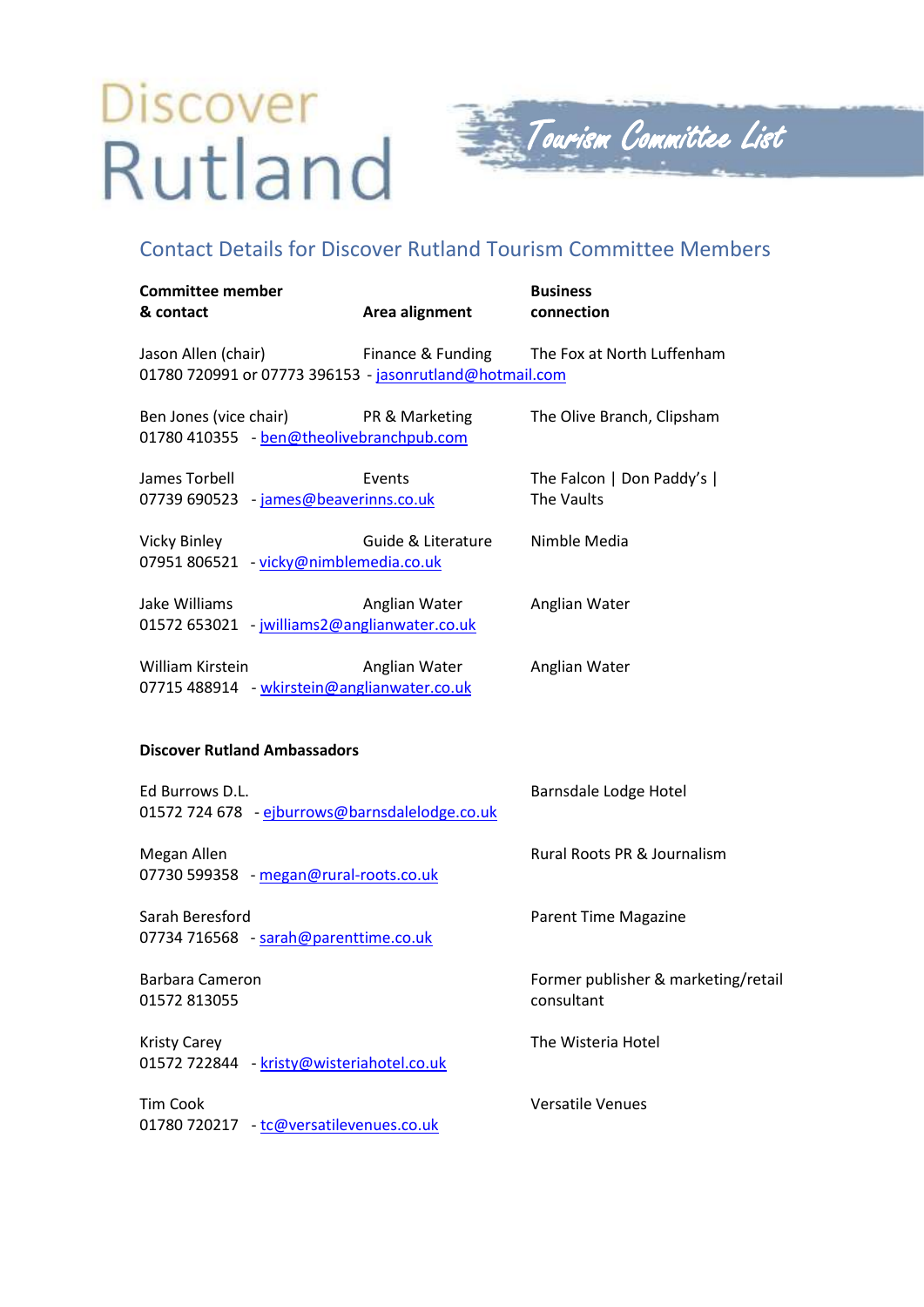## Discover Rutland



## Contact Details for Discover Rutland Tourism Committee Members

| <b>Committee member</b><br>& contact                                                             | Area alignment     | <b>Business</b><br>connection                     |
|--------------------------------------------------------------------------------------------------|--------------------|---------------------------------------------------|
| Jason Allen (chair) Finance & Funding<br>01780 720991 or 07773 396153 - jasonrutland@hotmail.com |                    | The Fox at North Luffenham                        |
| Ben Jones (vice chair)<br>01780 410355 - ben@theolivebranchpub.com                               | PR & Marketing     | The Olive Branch, Clipsham                        |
| James Torbell<br>07739 690523 - james@beaverinns.co.uk                                           | Events             | The Falcon   Don Paddy's  <br>The Vaults          |
| <b>Vicky Binley</b><br>07951 806521 - vicky@nimblemedia.co.uk                                    | Guide & Literature | Nimble Media                                      |
| Jake Williams<br>01572 653021 - jwilliams2@anglianwater.co.uk                                    | Anglian Water      | Anglian Water                                     |
| William Kirstein<br>07715 488914 - wkirstein@anglianwater.co.uk                                  | Anglian Water      | Anglian Water                                     |
| <b>Discover Rutland Ambassadors</b>                                                              |                    |                                                   |
| Ed Burrows D.L.<br>01572 724 678 - ejburrows@barnsdalelodge.co.uk                                |                    | Barnsdale Lodge Hotel                             |
| Megan Allen<br>07730 599358 - megan@rural-roots.co.uk                                            |                    | Rural Roots PR & Journalism                       |
| Sarah Beresford<br>07734 716568 - sarah@parenttime.co.uk                                         |                    | <b>Parent Time Magazine</b>                       |
| Barbara Cameron<br>01572 813055                                                                  |                    | Former publisher & marketing/retail<br>consultant |
| <b>Kristy Carey</b><br>01572 722844 - kristy@wisteriahotel.co.uk                                 |                    | The Wisteria Hotel                                |
| <b>Tim Cook</b><br>01780 720217 - tc@versatilevenues.co.uk                                       |                    | <b>Versatile Venues</b>                           |